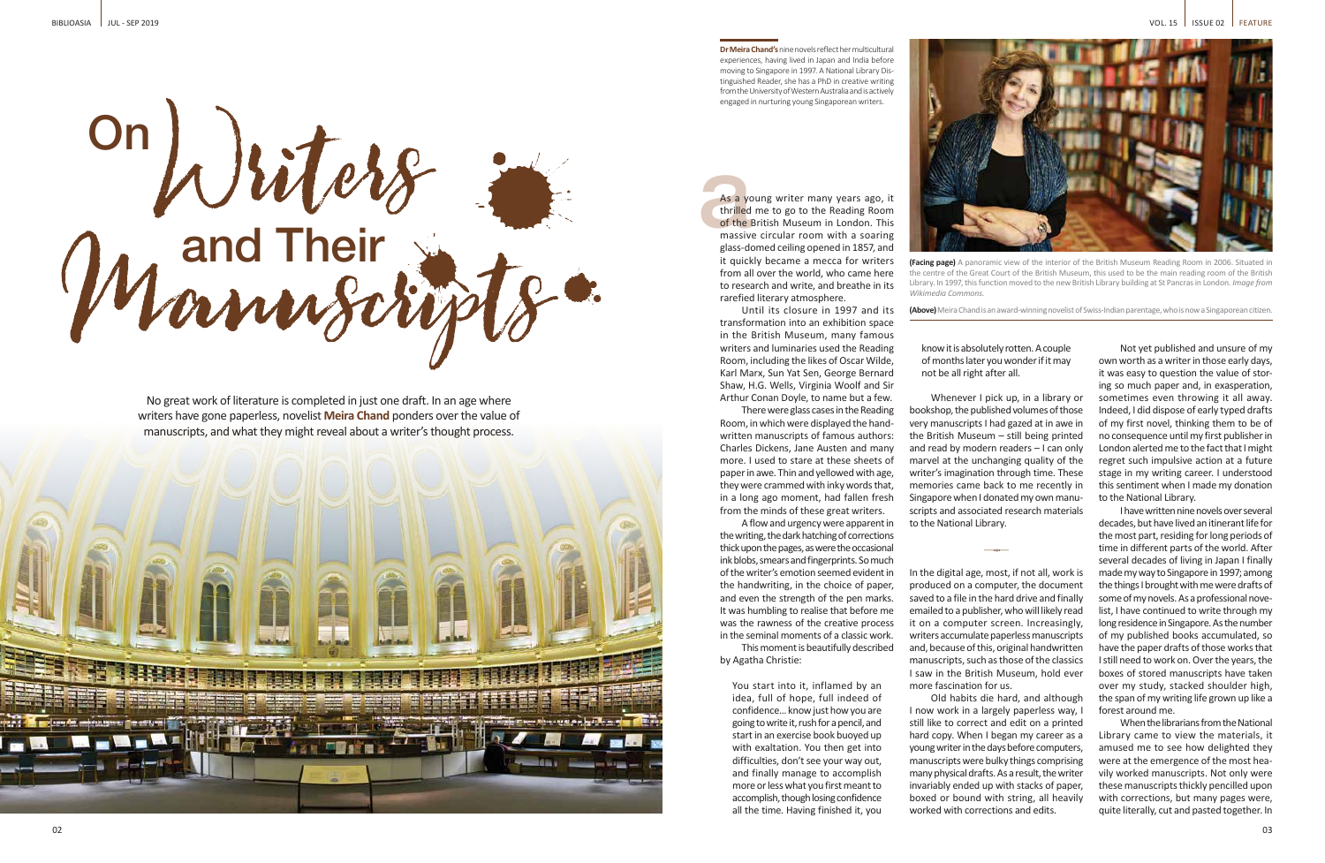

**Dr Meira Chand's** nine novels reflect her multicultural experiences, having lived in Japan and India before moving to Singapore in 1997. A National Library Distinguished Reader, she has a PhD in creative writing from the University of Western Australia and is actively engaged in nurturing young Singaporean writers.

As a young writer many years ago, it thrilled me to go to the Reading Room of the British Museum in London. This massive circular room with a soaring glass-domed ceiling opened in 1857, and it quickly became a mecca for writers from all over the world, who came here to research and write, and breathe in its

rarefied literary atmosphere.

Until its closure in 1997 and its transformation into an exhibition space in the British Museum, many famous writers and luminaries used the Reading Room, including the likes of Oscar Wilde, Karl Marx, Sun Yat Sen, George Bernard Shaw, H.G. Wells, Virginia Woolf and Sir Arthur Conan Doyle, to name but a few. There were glass cases in the Reading Room, in which were displayed the handwritten manuscripts of famous authors: Charles Dickens, Jane Austen and many more. I used to stare at these sheets of paper in awe. Thin and yellowed with age, they were crammed with inky words that, in a long ago moment, had fallen fresh from the minds of these great writers. A flow and urgency were apparent in the writing, the dark hatching of corrections thick upon the pages, as were the occasional ink blobs, smears and fingerprints. So much of the writer's emotion seemed evident in the handwriting, in the choice of paper, and even the strength of the pen marks. It was humbling to realise that before me was the rawness of the creative process in the seminal moments of a classic work. This moment is beautifully described

Whenever I pick up, in a library or bookshop, the published volumes of those very manuscripts I had gazed at in awe in the British Museum – still being printed and read by modern readers – I can only marvel at the unchanging quality of the writer's imagination through time. These memories came back to me recently in Singapore when I donated my own manuscripts and associated research materials to the National Library.

by Agatha Christie:

You start into it, inflamed by an idea, full of hope, full indeed of confidence… know just how you are going to write it, rush for a pencil, and start in an exercise book buoyed up with exaltation. You then get into difficulties, don't see your way out, and finally manage to accomplish more or less what you first meant to accomplish, though losing confidence all the time. Having finished it, you

As a yether<br>thrilled<br>of the I<br>massive



know it is absolutely rotten. A couple of months later you wonder if it may

not be all right after all.

In the digital age, most, if not all, work is produced on a computer, the document saved to a file in the hard drive and finally emailed to a publisher, who will likely read it on a computer screen. Increasingly, writers accumulate paperless manuscripts and, because of this, original handwritten manuscripts, such as those of the classics I saw in the British Museum, hold ever more fascination for us.

Old habits die hard, and although I now work in a largely paperless way, I still like to correct and edit on a printed hard copy. When I began my career as a young writer in the days before computers, manuscripts were bulky things comprising many physical drafts. As a result, the writer invariably ended up with stacks of paper, boxed or bound with string, all heavily worked with corrections and edits.

Not yet published and unsure of my own worth as a writer in those early days, it was easy to question the value of storing so much paper and, in exasperation, sometimes even throwing it all away. Indeed, I did dispose of early typed drafts of my first novel, thinking them to be of no consequence until my first publisher in London alerted me to the fact that I might regret such impulsive action at a future stage in my writing career. I understood this sentiment when I made my donation to the National Library.

I have written nine novels over several decades, but have lived an itinerant life for the most part, residing for long periods of time in different parts of the world. After several decades of living in Japan I finally made my way to Singapore in 1997; among the things I brought with me were drafts of some of my novels. As a professional novelist, I have continued to write through my long residence in Singapore. As the number of my published books accumulated, so have the paper drafts of those works that I still need to work on. Over the years, the boxes of stored manuscripts have taken over my study, stacked shoulder high, the span of my writing life grown up like a forest around me.

When the librarians from the National Library came to view the materials, it amused me to see how delighted they were at the emergence of the most heavily worked manuscripts. Not only were these manuscripts thickly pencilled upon with corrections, but many pages were, quite literally, cut and pasted together. In

**(Facing page)** A panoramic view of the interior of the British Museum Reading Room in 2006. Situated in the centre of the Great Court of the British Museum, this used to be the main reading room of the British Library. In 1997, this function moved to the new British Library building at St Pancras in London. *Image from* 

*Wikimedia Commons.*

**(Above)** Meira Chand is an award-winning novelist of Swiss-Indian parentage, who is now a Singaporean citizen.

No great work of literature is completed in just one draft. In an age where writers have gone paperless, novelist **Meira Chand** ponders over the value of manuscripts, and what they might reveal about a writer's thought process.